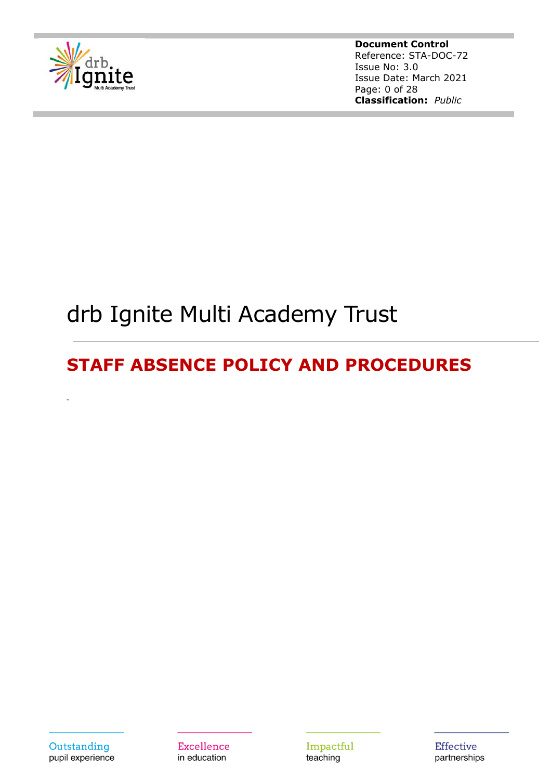

**Document Control** Reference: STA-DOC-72 Issue No: 3.0 Issue Date: March 2021 Page: 0 of 28 **Classification:** *Public*

# drb Ignite Multi Academy Trust

## **STAFF ABSENCE POLICY AND PROCEDURES**



**Excellence** in education

Impactful teaching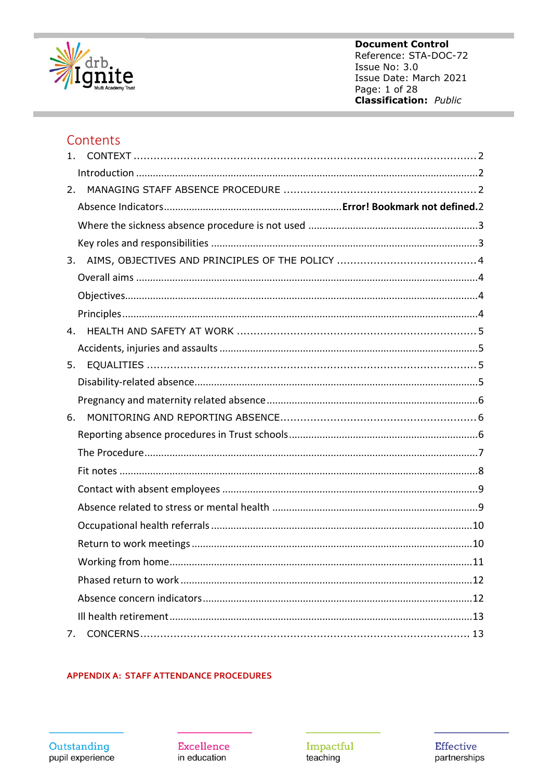

**Document Control** Reference: STA-DOC-72 Issue No: 3.0 Issue Date: March 2021 Page: 1 of 28 **Classification:** Public

### Contents

| 1. |    |
|----|----|
|    |    |
| 2. |    |
|    |    |
|    |    |
|    |    |
| 3. |    |
|    |    |
|    |    |
|    |    |
| 4. |    |
|    |    |
| 5. |    |
|    |    |
|    |    |
| 6. |    |
|    |    |
|    |    |
|    |    |
|    |    |
|    |    |
|    |    |
|    |    |
|    | 11 |
|    |    |
|    |    |
|    |    |
| 7. |    |

#### **APPENDIX A: STAFF ATTENDANCE PROCEDURES**

**Excellence** in education

Impactful<br>teaching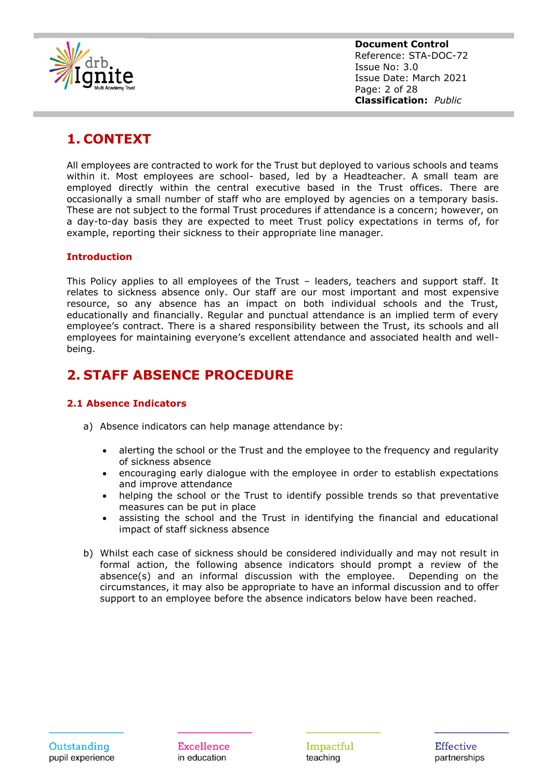

**Document Control** Reference: STA-DOC-72 Issue No: 3.0 Issue Date: March 2021 Page: 2 of 28 **Classification:** *Public*

### <span id="page-2-0"></span>**1. CONTEXT**

All employees are contracted to work for the Trust but deployed to various schools and teams within it. Most employees are school- based, led by a Headteacher. A small team are employed directly within the central executive based in the Trust offices. There are occasionally a small number of staff who are employed by agencies on a temporary basis. These are not subject to the formal Trust procedures if attendance is a concern; however, on a day-to-day basis they are expected to meet Trust policy expectations in terms of, for example, reporting their sickness to their appropriate line manager.

#### <span id="page-2-1"></span>**Introduction**

This Policy applies to all employees of the Trust – leaders, teachers and support staff. It relates to sickness absence only. Our staff are our most important and most expensive resource, so any absence has an impact on both individual schools and the Trust, educationally and financially. Regular and punctual attendance is an implied term of every employee's contract. There is a shared responsibility between the Trust, its schools and all employees for maintaining everyone's excellent attendance and associated health and wellbeing.

### <span id="page-2-2"></span>**2. STAFF ABSENCE PROCEDURE**

#### **2.1 Absence Indicators**

- a) Absence indicators can help manage attendance by:
	- alerting the school or the Trust and the employee to the frequency and regularity of sickness absence
	- encouraging early dialogue with the employee in order to establish expectations and improve attendance
	- helping the school or the Trust to identify possible trends so that preventative measures can be put in place
	- assisting the school and the Trust in identifying the financial and educational impact of staff sickness absence
- b) Whilst each case of sickness should be considered individually and may not result in formal action, the following absence indicators should prompt a review of the absence(s) and an informal discussion with the employee. Depending on the circumstances, it may also be appropriate to have an informal discussion and to offer support to an employee before the absence indicators below have been reached.

Impactful teaching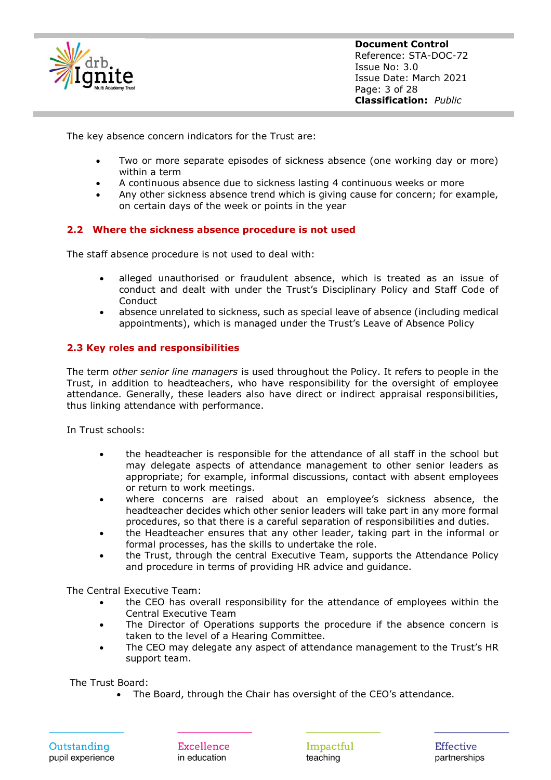

**Document Control** Reference: STA-DOC-72 Issue No: 3.0 Issue Date: March 2021 Page: 3 of 28 **Classification:** *Public*

The key absence concern indicators for the Trust are:

- Two or more separate episodes of sickness absence (one working day or more) within a term
- A continuous absence due to sickness lasting 4 continuous weeks or more
- Any other sickness absence trend which is giving cause for concern; for example, on certain days of the week or points in the year

#### <span id="page-3-0"></span>**2.2 Where the sickness absence procedure is not used**

The staff absence procedure is not used to deal with:

- alleged unauthorised or fraudulent absence, which is treated as an issue of conduct and dealt with under the Trust's Disciplinary Policy and Staff Code of **Conduct**
- absence unrelated to sickness, such as special leave of absence (including medical appointments), which is managed under the Trust's Leave of Absence Policy

#### <span id="page-3-1"></span>**2.3 Key roles and responsibilities**

The term *other senior line managers* is used throughout the Policy. It refers to people in the Trust, in addition to headteachers, who have responsibility for the oversight of employee attendance. Generally, these leaders also have direct or indirect appraisal responsibilities, thus linking attendance with performance.

In Trust schools:

- the headteacher is responsible for the attendance of all staff in the school but may delegate aspects of attendance management to other senior leaders as appropriate; for example, informal discussions, contact with absent employees or return to work meetings.
- where concerns are raised about an employee's sickness absence, the headteacher decides which other senior leaders will take part in any more formal procedures, so that there is a careful separation of responsibilities and duties.
- the Headteacher ensures that any other leader, taking part in the informal or formal processes, has the skills to undertake the role.
- the Trust, through the central Executive Team, supports the Attendance Policy and procedure in terms of providing HR advice and guidance.

The Central Executive Team:

- the CEO has overall responsibility for the attendance of employees within the Central Executive Team
- The Director of Operations supports the procedure if the absence concern is taken to the level of a Hearing Committee.
- The CEO may delegate any aspect of attendance management to the Trust's HR support team.

The Trust Board:

• The Board, through the Chair has oversight of the CEO's attendance.

Impactful teaching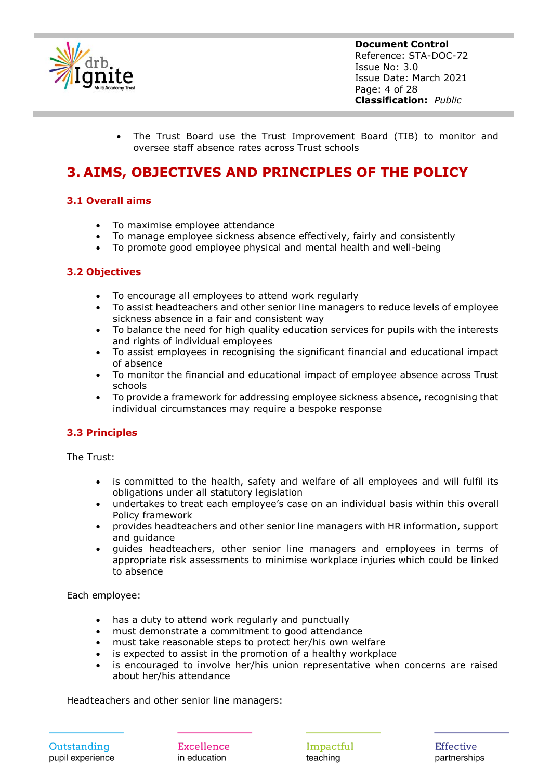

**Document Control** Reference: STA-DOC-72 Issue No: 3.0 Issue Date: March 2021 Page: 4 of 28 **Classification:** *Public*

• The Trust Board use the Trust Improvement Board (TIB) to monitor and oversee staff absence rates across Trust schools

### <span id="page-4-0"></span>**3. AIMS, OBJECTIVES AND PRINCIPLES OF THE POLICY**

#### <span id="page-4-1"></span>**3.1 Overall aims**

- To maximise employee attendance
- To manage employee sickness absence effectively, fairly and consistently
- To promote good employee physical and mental health and well-being

#### <span id="page-4-2"></span>**3.2 Objectives**

- To encourage all employees to attend work regularly
- To assist headteachers and other senior line managers to reduce levels of employee sickness absence in a fair and consistent way
- To balance the need for high quality education services for pupils with the interests and rights of individual employees
- To assist employees in recognising the significant financial and educational impact of absence
- To monitor the financial and educational impact of employee absence across Trust schools
- To provide a framework for addressing employee sickness absence, recognising that individual circumstances may require a bespoke response

#### <span id="page-4-3"></span>**3.3 Principles**

The Trust:

- is committed to the health, safety and welfare of all employees and will fulfil its obligations under all statutory legislation
- undertakes to treat each employee's case on an individual basis within this overall Policy framework
- provides headteachers and other senior line managers with HR information, support and guidance
- guides headteachers, other senior line managers and employees in terms of appropriate risk assessments to minimise workplace injuries which could be linked to absence

Each employee:

- has a duty to attend work regularly and punctually
- must demonstrate a commitment to good attendance
- must take reasonable steps to protect her/his own welfare
- is expected to assist in the promotion of a healthy workplace
- is encouraged to involve her/his union representative when concerns are raised about her/his attendance

Headteachers and other senior line managers:

Outstanding pupil experience

Excellence in education

Impactful teaching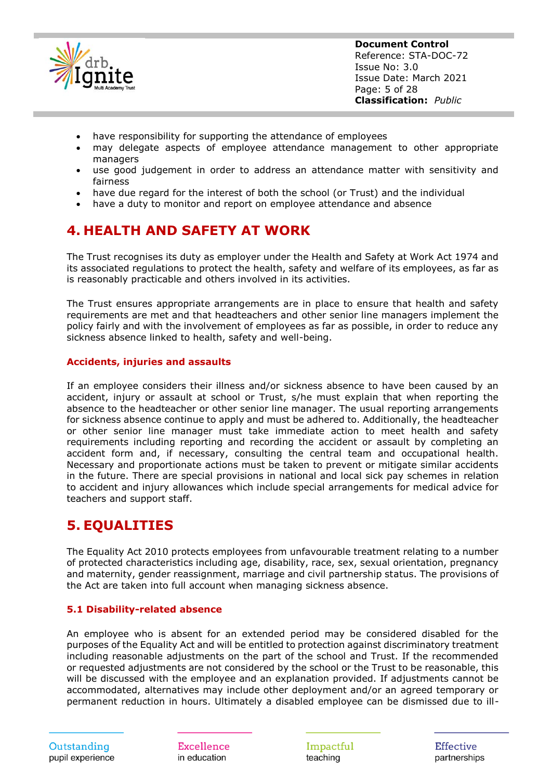

**Document Control** Reference: STA-DOC-72 Issue No: 3.0 Issue Date: March 2021 Page: 5 of 28 **Classification:** *Public*

- have responsibility for supporting the attendance of employees
- may delegate aspects of employee attendance management to other appropriate managers
- use good judgement in order to address an attendance matter with sensitivity and fairness
- have due regard for the interest of both the school (or Trust) and the individual
- have a duty to monitor and report on employee attendance and absence

### <span id="page-5-0"></span>**4. HEALTH AND SAFETY AT WORK**

The Trust recognises its duty as employer under the Health and Safety at Work Act 1974 and its associated regulations to protect the health, safety and welfare of its employees, as far as is reasonably practicable and others involved in its activities.

The Trust ensures appropriate arrangements are in place to ensure that health and safety requirements are met and that headteachers and other senior line managers implement the policy fairly and with the involvement of employees as far as possible, in order to reduce any sickness absence linked to health, safety and well-being.

#### <span id="page-5-1"></span>**Accidents, injuries and assaults**

If an employee considers their illness and/or sickness absence to have been caused by an accident, injury or assault at school or Trust, s/he must explain that when reporting the absence to the headteacher or other senior line manager. The usual reporting arrangements for sickness absence continue to apply and must be adhered to. Additionally, the headteacher or other senior line manager must take immediate action to meet health and safety requirements including reporting and recording the accident or assault by completing an accident form and, if necessary, consulting the central team and occupational health. Necessary and proportionate actions must be taken to prevent or mitigate similar accidents in the future. There are special provisions in national and local sick pay schemes in relation to accident and injury allowances which include special arrangements for medical advice for teachers and support staff.

### <span id="page-5-2"></span>**5. EQUALITIES**

The Equality Act 2010 protects employees from unfavourable treatment relating to a number of protected characteristics including age, disability, race, sex, sexual orientation, pregnancy and maternity, gender reassignment, marriage and civil partnership status. The provisions of the Act are taken into full account when managing sickness absence.

#### <span id="page-5-3"></span>**5.1 Disability-related absence**

An employee who is absent for an extended period may be considered disabled for the purposes of the Equality Act and will be entitled to protection against discriminatory treatment including reasonable adjustments on the part of the school and Trust. If the recommended or requested adjustments are not considered by the school or the Trust to be reasonable, this will be discussed with the employee and an explanation provided. If adjustments cannot be accommodated, alternatives may include other deployment and/or an agreed temporary or permanent reduction in hours. Ultimately a disabled employee can be dismissed due to ill-

Excellence in education

Impactful teaching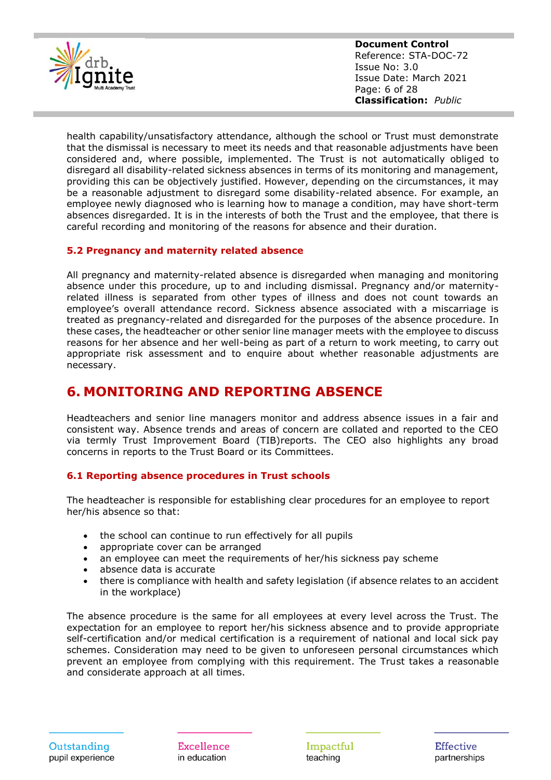

**Document Control** Reference: STA-DOC-72 Issue No: 3.0 Issue Date: March 2021 Page: 6 of 28 **Classification:** *Public*

health capability/unsatisfactory attendance, although the school or Trust must demonstrate that the dismissal is necessary to meet its needs and that reasonable adjustments have been considered and, where possible, implemented. The Trust is not automatically obliged to disregard all disability-related sickness absences in terms of its monitoring and management, providing this can be objectively justified. However, depending on the circumstances, it may be a reasonable adjustment to disregard some disability-related absence. For example, an employee newly diagnosed who is learning how to manage a condition, may have short-term absences disregarded. It is in the interests of both the Trust and the employee, that there is careful recording and monitoring of the reasons for absence and their duration.

#### <span id="page-6-0"></span>**5.2 Pregnancy and maternity related absence**

All pregnancy and maternity-related absence is disregarded when managing and monitoring absence under this procedure, up to and including dismissal. Pregnancy and/or maternityrelated illness is separated from other types of illness and does not count towards an employee's overall attendance record. Sickness absence associated with a miscarriage is treated as pregnancy-related and disregarded for the purposes of the absence procedure. In these cases, the headteacher or other senior line manager meets with the employee to discuss reasons for her absence and her well-being as part of a return to work meeting, to carry out appropriate risk assessment and to enquire about whether reasonable adjustments are necessary.

### <span id="page-6-1"></span>**6. MONITORING AND REPORTING ABSENCE**

Headteachers and senior line managers monitor and address absence issues in a fair and consistent way. Absence trends and areas of concern are collated and reported to the CEO via termly Trust Improvement Board (TIB)reports. The CEO also highlights any broad concerns in reports to the Trust Board or its Committees.

#### <span id="page-6-2"></span>**6.1 Reporting absence procedures in Trust schools**

The headteacher is responsible for establishing clear procedures for an employee to report her/his absence so that:

- the school can continue to run effectively for all pupils
- appropriate cover can be arranged
- an employee can meet the requirements of her/his sickness pay scheme
- absence data is accurate
- there is compliance with health and safety legislation (if absence relates to an accident in the workplace)

The absence procedure is the same for all employees at every level across the Trust. The expectation for an employee to report her/his sickness absence and to provide appropriate self-certification and/or medical certification is a requirement of national and local sick pay schemes. Consideration may need to be given to unforeseen personal circumstances which prevent an employee from complying with this requirement. The Trust takes a reasonable and considerate approach at all times.

Excellence in education

Impactful teaching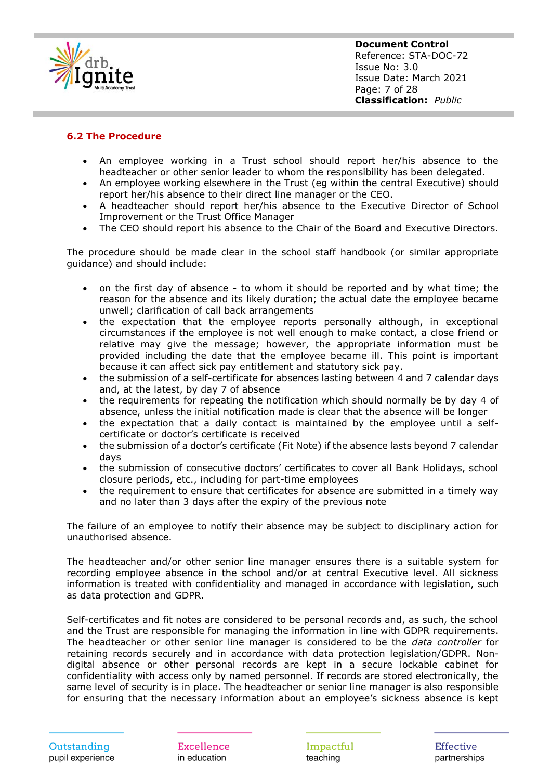

**Document Control** Reference: STA-DOC-72 Issue No: 3.0 Issue Date: March 2021 Page: 7 of 28 **Classification:** *Public*

#### <span id="page-7-0"></span>**6.2 The Procedure**

- An employee working in a Trust school should report her/his absence to the headteacher or other senior leader to whom the responsibility has been delegated.
- An employee working elsewhere in the Trust (eg within the central Executive) should report her/his absence to their direct line manager or the CEO.
- A headteacher should report her/his absence to the Executive Director of School Improvement or the Trust Office Manager
- The CEO should report his absence to the Chair of the Board and Executive Directors.

The procedure should be made clear in the school staff handbook (or similar appropriate guidance) and should include:

- on the first day of absence to whom it should be reported and by what time; the reason for the absence and its likely duration; the actual date the employee became unwell; clarification of call back arrangements
- the expectation that the employee reports personally although, in exceptional circumstances if the employee is not well enough to make contact, a close friend or relative may give the message; however, the appropriate information must be provided including the date that the employee became ill. This point is important because it can affect sick pay entitlement and statutory sick pay.
- the submission of a self-certificate for absences lasting between 4 and 7 calendar days and, at the latest, by day 7 of absence
- the requirements for repeating the notification which should normally be by day 4 of absence, unless the initial notification made is clear that the absence will be longer
- the expectation that a daily contact is maintained by the employee until a selfcertificate or doctor's certificate is received
- the submission of a doctor's certificate (Fit Note) if the absence lasts beyond 7 calendar days
- the submission of consecutive doctors' certificates to cover all Bank Holidays, school closure periods, etc., including for part-time employees
- the requirement to ensure that certificates for absence are submitted in a timely way and no later than 3 days after the expiry of the previous note

The failure of an employee to notify their absence may be subject to disciplinary action for unauthorised absence.

The headteacher and/or other senior line manager ensures there is a suitable system for recording employee absence in the school and/or at central Executive level. All sickness information is treated with confidentiality and managed in accordance with legislation, such as data protection and GDPR.

Self-certificates and fit notes are considered to be personal records and, as such, the school and the Trust are responsible for managing the information in line with GDPR requirements. The headteacher or other senior line manager is considered to be the *data controller* for retaining records securely and in accordance with data protection legislation/GDPR. Nondigital absence or other personal records are kept in a secure lockable cabinet for confidentiality with access only by named personnel. If records are stored electronically, the same level of security is in place. The headteacher or senior line manager is also responsible for ensuring that the necessary information about an employee's sickness absence is kept

Excellence in education

Impactful teaching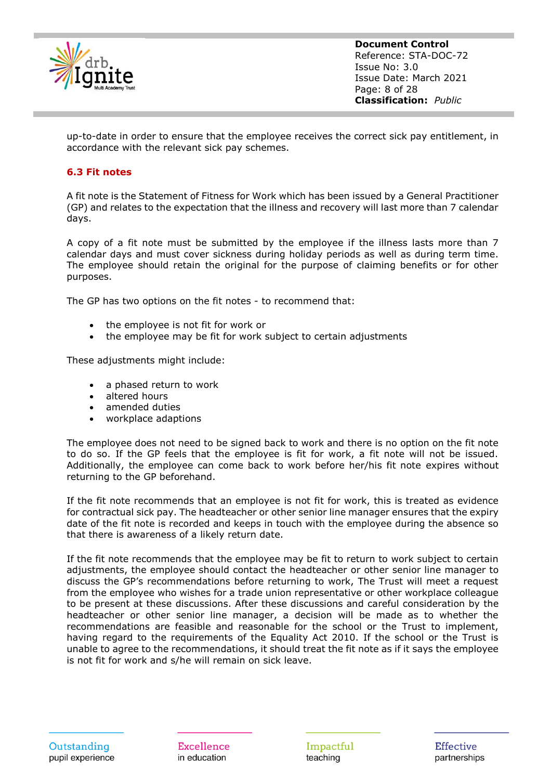

**Document Control** Reference: STA-DOC-72 Issue No: 3.0 Issue Date: March 2021 Page: 8 of 28 **Classification:** *Public*

up-to-date in order to ensure that the employee receives the correct sick pay entitlement, in accordance with the relevant sick pay schemes.

#### <span id="page-8-0"></span>**6.3 Fit notes**

A fit note is the Statement of Fitness for Work which has been issued by a General Practitioner (GP) and relates to the expectation that the illness and recovery will last more than 7 calendar days.

A copy of a fit note must be submitted by the employee if the illness lasts more than 7 calendar days and must cover sickness during holiday periods as well as during term time. The employee should retain the original for the purpose of claiming benefits or for other purposes.

The GP has two options on the fit notes - to recommend that:

- the employee is not fit for work or
- the employee may be fit for work subject to certain adjustments

These adjustments might include:

- a phased return to work
- altered hours
- amended duties
- workplace adaptions

The employee does not need to be signed back to work and there is no option on the fit note to do so. If the GP feels that the employee is fit for work, a fit note will not be issued. Additionally, the employee can come back to work before her/his fit note expires without returning to the GP beforehand.

If the fit note recommends that an employee is not fit for work, this is treated as evidence for contractual sick pay. The headteacher or other senior line manager ensures that the expiry date of the fit note is recorded and keeps in touch with the employee during the absence so that there is awareness of a likely return date.

If the fit note recommends that the employee may be fit to return to work subject to certain adjustments, the employee should contact the headteacher or other senior line manager to discuss the GP's recommendations before returning to work, The Trust will meet a request from the employee who wishes for a trade union representative or other workplace colleague to be present at these discussions. After these discussions and careful consideration by the headteacher or other senior line manager, a decision will be made as to whether the recommendations are feasible and reasonable for the school or the Trust to implement, having regard to the requirements of the Equality Act 2010. If the school or the Trust is unable to agree to the recommendations, it should treat the fit note as if it says the employee is not fit for work and s/he will remain on sick leave.

Excellence in education

Impactful teaching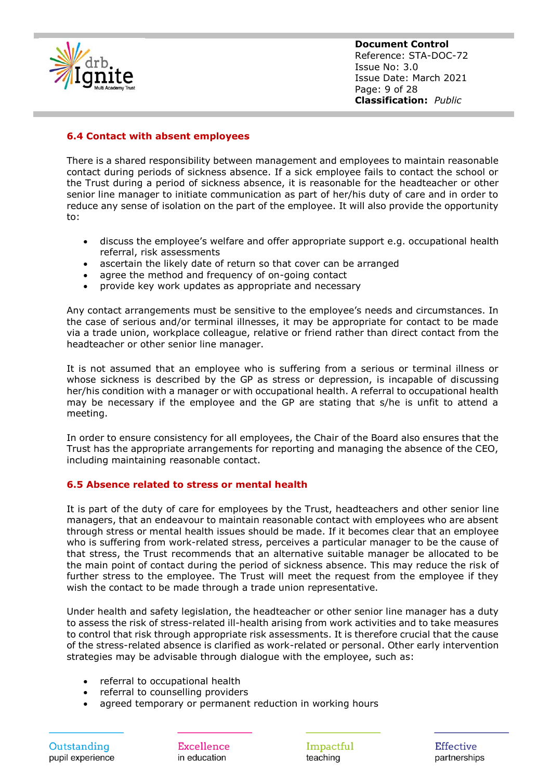

**Document Control** Reference: STA-DOC-72 Issue No: 3.0 Issue Date: March 2021 Page: 9 of 28 **Classification:** *Public*

#### <span id="page-9-0"></span>**6.4 Contact with absent employees**

There is a shared responsibility between management and employees to maintain reasonable contact during periods of sickness absence. If a sick employee fails to contact the school or the Trust during a period of sickness absence, it is reasonable for the headteacher or other senior line manager to initiate communication as part of her/his duty of care and in order to reduce any sense of isolation on the part of the employee. It will also provide the opportunity to:

- discuss the employee's welfare and offer appropriate support e.g. occupational health referral, risk assessments
- ascertain the likely date of return so that cover can be arranged
- agree the method and frequency of on-going contact
- provide key work updates as appropriate and necessary

Any contact arrangements must be sensitive to the employee's needs and circumstances. In the case of serious and/or terminal illnesses, it may be appropriate for contact to be made via a trade union, workplace colleague, relative or friend rather than direct contact from the headteacher or other senior line manager.

It is not assumed that an employee who is suffering from a serious or terminal illness or whose sickness is described by the GP as stress or depression, is incapable of discussing her/his condition with a manager or with occupational health. A referral to occupational health may be necessary if the employee and the GP are stating that s/he is unfit to attend a meeting.

In order to ensure consistency for all employees, the Chair of the Board also ensures that the Trust has the appropriate arrangements for reporting and managing the absence of the CEO, including maintaining reasonable contact.

#### <span id="page-9-1"></span>**6.5 Absence related to stress or mental health**

It is part of the duty of care for employees by the Trust, headteachers and other senior line managers, that an endeavour to maintain reasonable contact with employees who are absent through stress or mental health issues should be made. If it becomes clear that an employee who is suffering from work-related stress, perceives a particular manager to be the cause of that stress, the Trust recommends that an alternative suitable manager be allocated to be the main point of contact during the period of sickness absence. This may reduce the risk of further stress to the employee. The Trust will meet the request from the employee if they wish the contact to be made through a trade union representative.

Under health and safety legislation, the headteacher or other senior line manager has a duty to assess the risk of stress-related ill-health arising from work activities and to take measures to control that risk through appropriate risk assessments. It is therefore crucial that the cause of the stress-related absence is clarified as work-related or personal. Other early intervention strategies may be advisable through dialogue with the employee, such as:

- referral to occupational health
- referral to counselling providers
- agreed temporary or permanent reduction in working hours

Excellence in education

Impactful teaching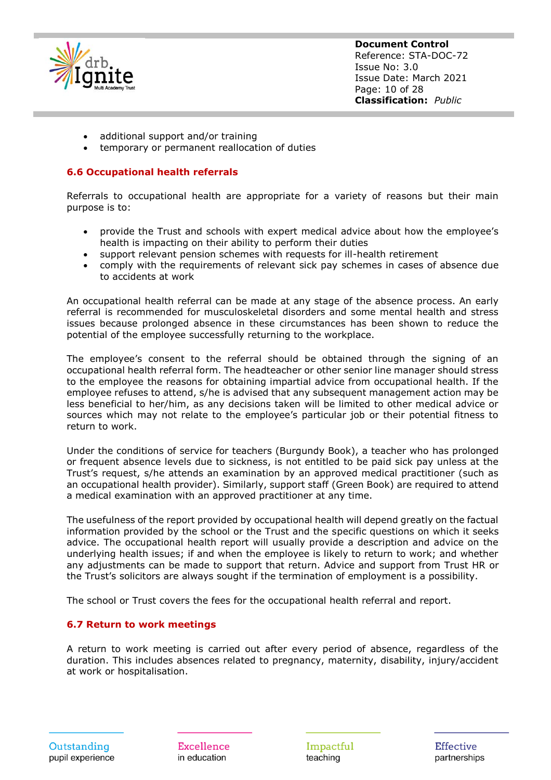

**Document Control** Reference: STA-DOC-72 Issue No: 3.0 Issue Date: March 2021 Page: 10 of 28 **Classification:** *Public*

- additional support and/or training
- temporary or permanent reallocation of duties

#### <span id="page-10-0"></span>**6.6 Occupational health referrals**

Referrals to occupational health are appropriate for a variety of reasons but their main purpose is to:

- provide the Trust and schools with expert medical advice about how the employee's health is impacting on their ability to perform their duties
- support relevant pension schemes with requests for ill-health retirement
- comply with the requirements of relevant sick pay schemes in cases of absence due to accidents at work

An occupational health referral can be made at any stage of the absence process. An early referral is recommended for musculoskeletal disorders and some mental health and stress issues because prolonged absence in these circumstances has been shown to reduce the potential of the employee successfully returning to the workplace.

The employee's consent to the referral should be obtained through the signing of an occupational health referral form. The headteacher or other senior line manager should stress to the employee the reasons for obtaining impartial advice from occupational health. If the employee refuses to attend, s/he is advised that any subsequent management action may be less beneficial to her/him, as any decisions taken will be limited to other medical advice or sources which may not relate to the employee's particular job or their potential fitness to return to work.

Under the conditions of service for teachers (Burgundy Book), a teacher who has prolonged or frequent absence levels due to sickness, is not entitled to be paid sick pay unless at the Trust's request, s/he attends an examination by an approved medical practitioner (such as an occupational health provider). Similarly, support staff (Green Book) are required to attend a medical examination with an approved practitioner at any time.

The usefulness of the report provided by occupational health will depend greatly on the factual information provided by the school or the Trust and the specific questions on which it seeks advice. The occupational health report will usually provide a description and advice on the underlying health issues; if and when the employee is likely to return to work; and whether any adjustments can be made to support that return. Advice and support from Trust HR or the Trust's solicitors are always sought if the termination of employment is a possibility.

The school or Trust covers the fees for the occupational health referral and report.

#### <span id="page-10-1"></span>**6.7 Return to work meetings**

A return to work meeting is carried out after every period of absence, regardless of the duration. This includes absences related to pregnancy, maternity, disability, injury/accident at work or hospitalisation.

Excellence in education

Impactful teaching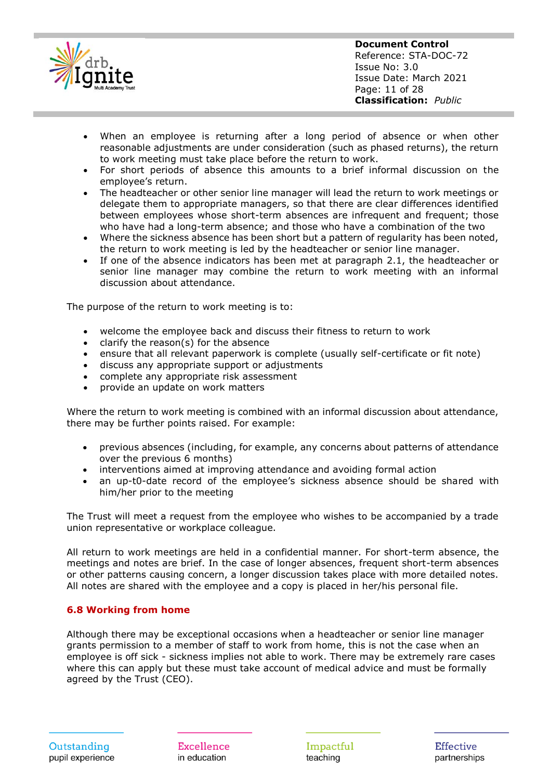

- When an employee is returning after a long period of absence or when other reasonable adjustments are under consideration (such as phased returns), the return to work meeting must take place before the return to work.
- For short periods of absence this amounts to a brief informal discussion on the employee's return.
- The headteacher or other senior line manager will lead the return to work meetings or delegate them to appropriate managers, so that there are clear differences identified between employees whose short-term absences are infrequent and frequent; those who have had a long-term absence; and those who have a combination of the two
- Where the sickness absence has been short but a pattern of regularity has been noted, the return to work meeting is led by the headteacher or senior line manager.
- If one of the absence indicators has been met at paragraph 2.1, the headteacher or senior line manager may combine the return to work meeting with an informal discussion about attendance.

The purpose of the return to work meeting is to:

- welcome the employee back and discuss their fitness to return to work
- clarify the reason(s) for the absence
- ensure that all relevant paperwork is complete (usually self-certificate or fit note)
- discuss any appropriate support or adjustments
- complete any appropriate risk assessment
- provide an update on work matters

Where the return to work meeting is combined with an informal discussion about attendance, there may be further points raised. For example:

- previous absences (including, for example, any concerns about patterns of attendance over the previous 6 months)
- interventions aimed at improving attendance and avoiding formal action
- an up-t0-date record of the employee's sickness absence should be shared with him/her prior to the meeting

The Trust will meet a request from the employee who wishes to be accompanied by a trade union representative or workplace colleague.

All return to work meetings are held in a confidential manner. For short-term absence, the meetings and notes are brief. In the case of longer absences, frequent short-term absences or other patterns causing concern, a longer discussion takes place with more detailed notes. All notes are shared with the employee and a copy is placed in her/his personal file.

#### <span id="page-11-0"></span>**6.8 Working from home**

Although there may be exceptional occasions when a headteacher or senior line manager grants permission to a member of staff to work from home, this is not the case when an employee is off sick - sickness implies not able to work. There may be extremely rare cases where this can apply but these must take account of medical advice and must be formally agreed by the Trust (CEO).

Excellence in education

Impactful teaching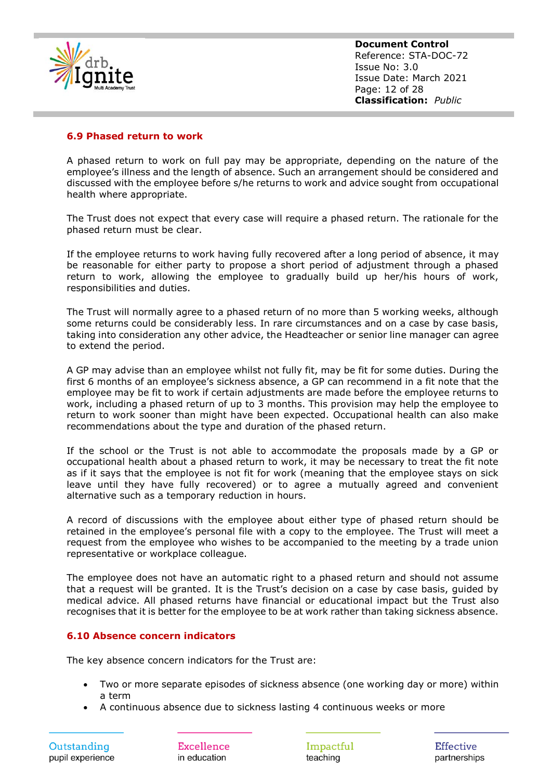

**Document Control** Reference: STA-DOC-72 Issue No: 3.0 Issue Date: March 2021 Page: 12 of 28 **Classification:** *Public*

#### <span id="page-12-0"></span>**6.9 Phased return to work**

A phased return to work on full pay may be appropriate, depending on the nature of the employee's illness and the length of absence. Such an arrangement should be considered and discussed with the employee before s/he returns to work and advice sought from occupational health where appropriate.

The Trust does not expect that every case will require a phased return. The rationale for the phased return must be clear.

If the employee returns to work having fully recovered after a long period of absence, it may be reasonable for either party to propose a short period of adjustment through a phased return to work, allowing the employee to gradually build up her/his hours of work, responsibilities and duties.

The Trust will normally agree to a phased return of no more than 5 working weeks, although some returns could be considerably less. In rare circumstances and on a case by case basis, taking into consideration any other advice, the Headteacher or senior line manager can agree to extend the period.

A GP may advise than an employee whilst not fully fit, may be fit for some duties. During the first 6 months of an employee's sickness absence, a GP can recommend in a fit note that the employee may be fit to work if certain adjustments are made before the employee returns to work, including a phased return of up to 3 months. This provision may help the employee to return to work sooner than might have been expected. Occupational health can also make recommendations about the type and duration of the phased return.

If the school or the Trust is not able to accommodate the proposals made by a GP or occupational health about a phased return to work, it may be necessary to treat the fit note as if it says that the employee is not fit for work (meaning that the employee stays on sick leave until they have fully recovered) or to agree a mutually agreed and convenient alternative such as a temporary reduction in hours.

A record of discussions with the employee about either type of phased return should be retained in the employee's personal file with a copy to the employee. The Trust will meet a request from the employee who wishes to be accompanied to the meeting by a trade union representative or workplace colleague.

The employee does not have an automatic right to a phased return and should not assume that a request will be granted. It is the Trust's decision on a case by case basis, guided by medical advice. All phased returns have financial or educational impact but the Trust also recognises that it is better for the employee to be at work rather than taking sickness absence.

#### <span id="page-12-1"></span>**6.10 Absence concern indicators**

The key absence concern indicators for the Trust are:

- Two or more separate episodes of sickness absence (one working day or more) within a term
- A continuous absence due to sickness lasting 4 continuous weeks or more

Excellence in education

Impactful teaching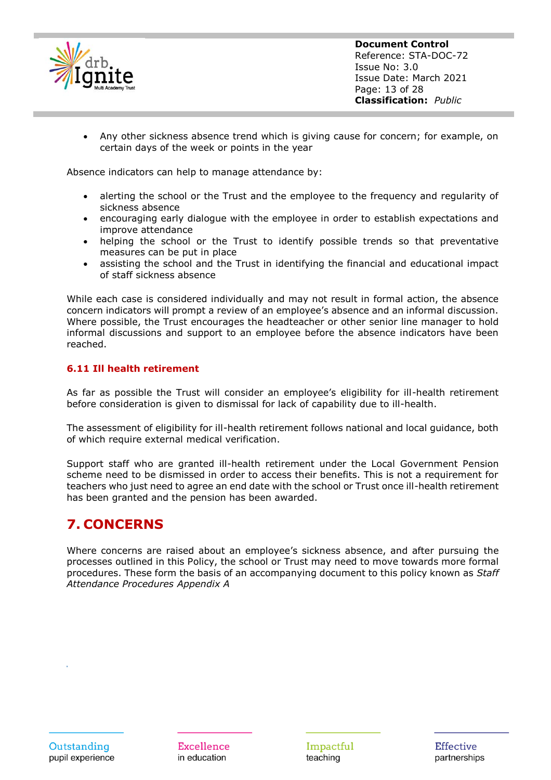

**Document Control** Reference: STA-DOC-72 Issue No: 3.0 Issue Date: March 2021 Page: 13 of 28 **Classification:** *Public*

• Any other sickness absence trend which is giving cause for concern; for example, on certain days of the week or points in the year

Absence indicators can help to manage attendance by:

- alerting the school or the Trust and the employee to the frequency and regularity of sickness absence
- encouraging early dialogue with the employee in order to establish expectations and improve attendance
- helping the school or the Trust to identify possible trends so that preventative measures can be put in place
- assisting the school and the Trust in identifying the financial and educational impact of staff sickness absence

While each case is considered individually and may not result in formal action, the absence concern indicators will prompt a review of an employee's absence and an informal discussion. Where possible, the Trust encourages the headteacher or other senior line manager to hold informal discussions and support to an employee before the absence indicators have been reached.

#### <span id="page-13-0"></span>**6.11 Ill health retirement**

As far as possible the Trust will consider an employee's eligibility for ill-health retirement before consideration is given to dismissal for lack of capability due to ill-health.

The assessment of eligibility for ill-health retirement follows national and local guidance, both of which require external medical verification.

Support staff who are granted ill-health retirement under the Local Government Pension scheme need to be dismissed in order to access their benefits. This is not a requirement for teachers who just need to agree an end date with the school or Trust once ill-health retirement has been granted and the pension has been awarded.

### <span id="page-13-1"></span>**7. CONCERNS**

Where concerns are raised about an employee's sickness absence, and after pursuing the processes outlined in this Policy, the school or Trust may need to move towards more formal procedures. These form the basis of an accompanying document to this policy known as *Staff Attendance Procedures Appendix A*

**Excellence** in education

Impactful teaching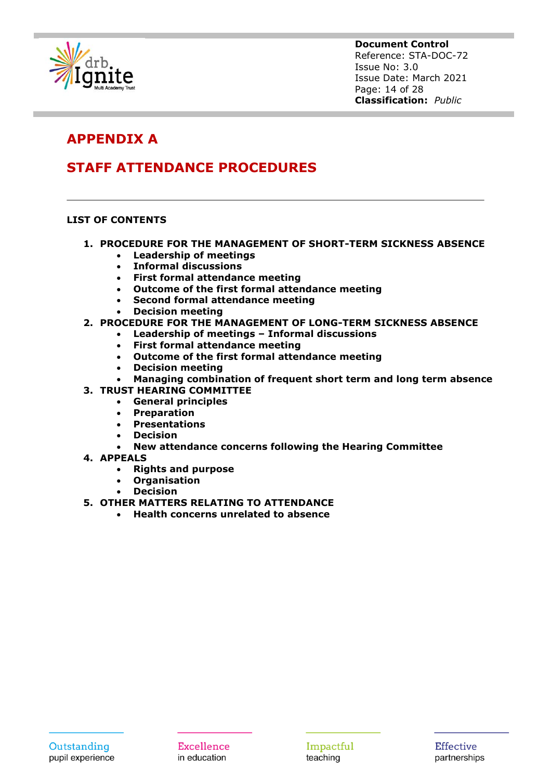

**Document Control** Reference: STA-DOC-72 Issue No: 3.0 Issue Date: March 2021 Page: 14 of 28 **Classification:** *Public*

### **APPENDIX A**

### **STAFF ATTENDANCE PROCEDURES**

#### **LIST OF CONTENTS**

- **1. PROCEDURE FOR THE MANAGEMENT OF SHORT-TERM SICKNESS ABSENCE** 
	- **Leadership of meetings**
	- **Informal discussions**
	- **First formal attendance meeting**
	- **Outcome of the first formal attendance meeting**
	- **Second formal attendance meeting**
	- **Decision meeting**

#### **2. PROCEDURE FOR THE MANAGEMENT OF LONG-TERM SICKNESS ABSENCE**

- **Leadership of meetings – Informal discussions**
	- **First formal attendance meeting**
- **Outcome of the first formal attendance meeting**
- **Decision meeting**
- **Managing combination of frequent short term and long term absence**
- **3. TRUST HEARING COMMITTEE** 
	- **General principles** 
		- **Preparation**
	- **Presentations**
	- **Decision**
	- **New attendance concerns following the Hearing Committee**
- **4. APPEALS** 
	- **Rights and purpose**
	- **Organisation**
	- **Decision**
- **5. OTHER MATTERS RELATING TO ATTENDANCE**
	- **Health concerns unrelated to absence**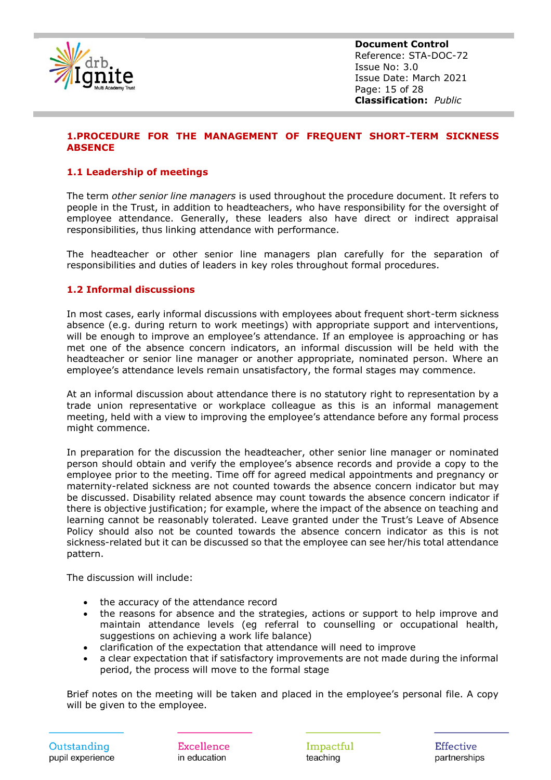

**Document Control** Reference: STA-DOC-72 Issue No: 3.0 Issue Date: March 2021 Page: 15 of 28 **Classification:** *Public*

#### **1.PROCEDURE FOR THE MANAGEMENT OF FREQUENT SHORT-TERM SICKNESS ABSENCE**

#### **1.1 Leadership of meetings**

The term *other senior line managers* is used throughout the procedure document. It refers to people in the Trust, in addition to headteachers, who have responsibility for the oversight of employee attendance. Generally, these leaders also have direct or indirect appraisal responsibilities, thus linking attendance with performance.

The headteacher or other senior line managers plan carefully for the separation of responsibilities and duties of leaders in key roles throughout formal procedures.

#### **1.2 Informal discussions**

In most cases, early informal discussions with employees about frequent short-term sickness absence (e.g. during return to work meetings) with appropriate support and interventions, will be enough to improve an employee's attendance. If an employee is approaching or has met one of the absence concern indicators, an informal discussion will be held with the headteacher or senior line manager or another appropriate, nominated person. Where an employee's attendance levels remain unsatisfactory, the formal stages may commence.

At an informal discussion about attendance there is no statutory right to representation by a trade union representative or workplace colleague as this is an informal management meeting, held with a view to improving the employee's attendance before any formal process might commence.

In preparation for the discussion the headteacher, other senior line manager or nominated person should obtain and verify the employee's absence records and provide a copy to the employee prior to the meeting. Time off for agreed medical appointments and pregnancy or maternity-related sickness are not counted towards the absence concern indicator but may be discussed. Disability related absence may count towards the absence concern indicator if there is objective justification; for example, where the impact of the absence on teaching and learning cannot be reasonably tolerated. Leave granted under the Trust's Leave of Absence Policy should also not be counted towards the absence concern indicator as this is not sickness-related but it can be discussed so that the employee can see her/his total attendance pattern.

The discussion will include:

- the accuracy of the attendance record
- the reasons for absence and the strategies, actions or support to help improve and maintain attendance levels (eg referral to counselling or occupational health, suggestions on achieving a work life balance)
- clarification of the expectation that attendance will need to improve
- a clear expectation that if satisfactory improvements are not made during the informal period, the process will move to the formal stage

Brief notes on the meeting will be taken and placed in the employee's personal file. A copy will be given to the employee.

Excellence in education

Impactful teaching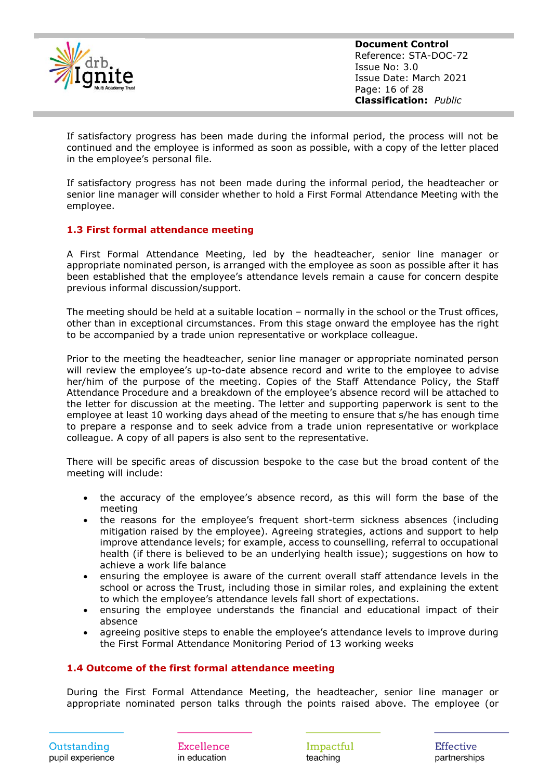

**Document Control** Reference: STA-DOC-72 Issue No: 3.0 Issue Date: March 2021 Page: 16 of 28 **Classification:** *Public*

If satisfactory progress has been made during the informal period, the process will not be continued and the employee is informed as soon as possible, with a copy of the letter placed in the employee's personal file.

If satisfactory progress has not been made during the informal period, the headteacher or senior line manager will consider whether to hold a First Formal Attendance Meeting with the employee.

#### **1.3 First formal attendance meeting**

A First Formal Attendance Meeting, led by the headteacher, senior line manager or appropriate nominated person, is arranged with the employee as soon as possible after it has been established that the employee's attendance levels remain a cause for concern despite previous informal discussion/support.

The meeting should be held at a suitable location – normally in the school or the Trust offices, other than in exceptional circumstances. From this stage onward the employee has the right to be accompanied by a trade union representative or workplace colleague.

Prior to the meeting the headteacher, senior line manager or appropriate nominated person will review the employee's up-to-date absence record and write to the employee to advise her/him of the purpose of the meeting. Copies of the Staff Attendance Policy, the Staff Attendance Procedure and a breakdown of the employee's absence record will be attached to the letter for discussion at the meeting. The letter and supporting paperwork is sent to the employee at least 10 working days ahead of the meeting to ensure that s/he has enough time to prepare a response and to seek advice from a trade union representative or workplace colleague. A copy of all papers is also sent to the representative.

There will be specific areas of discussion bespoke to the case but the broad content of the meeting will include:

- the accuracy of the employee's absence record, as this will form the base of the meeting
- the reasons for the employee's frequent short-term sickness absences (including mitigation raised by the employee). Agreeing strategies, actions and support to help improve attendance levels; for example, access to counselling, referral to occupational health (if there is believed to be an underlying health issue); suggestions on how to achieve a work life balance
- ensuring the employee is aware of the current overall staff attendance levels in the school or across the Trust, including those in similar roles, and explaining the extent to which the employee's attendance levels fall short of expectations.
- ensuring the employee understands the financial and educational impact of their absence
- agreeing positive steps to enable the employee's attendance levels to improve during the First Formal Attendance Monitoring Period of 13 working weeks

#### **1.4 Outcome of the first formal attendance meeting**

During the First Formal Attendance Meeting, the headteacher, senior line manager or appropriate nominated person talks through the points raised above. The employee (or

Impactful teaching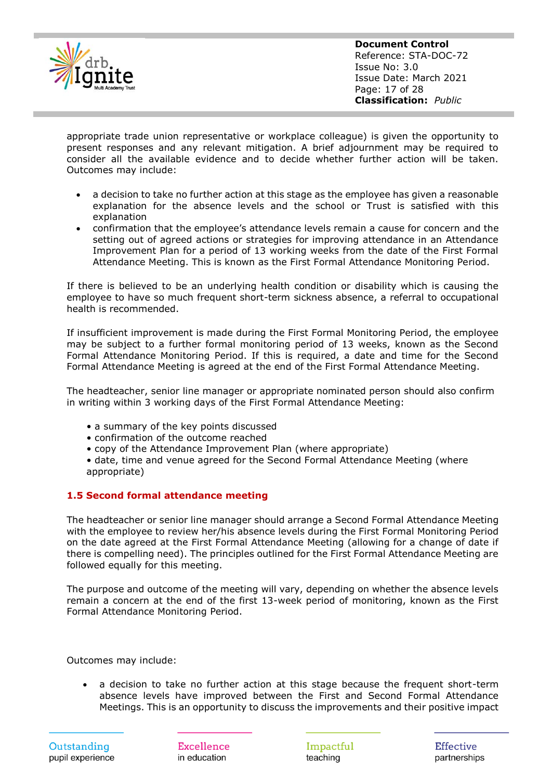

**Document Control** Reference: STA-DOC-72 Issue No: 3.0 Issue Date: March 2021 Page: 17 of 28 **Classification:** *Public*

appropriate trade union representative or workplace colleague) is given the opportunity to present responses and any relevant mitigation. A brief adjournment may be required to consider all the available evidence and to decide whether further action will be taken. Outcomes may include:

- a decision to take no further action at this stage as the employee has given a reasonable explanation for the absence levels and the school or Trust is satisfied with this explanation
- confirmation that the employee's attendance levels remain a cause for concern and the setting out of agreed actions or strategies for improving attendance in an Attendance Improvement Plan for a period of 13 working weeks from the date of the First Formal Attendance Meeting. This is known as the First Formal Attendance Monitoring Period.

If there is believed to be an underlying health condition or disability which is causing the employee to have so much frequent short-term sickness absence, a referral to occupational health is recommended.

If insufficient improvement is made during the First Formal Monitoring Period, the employee may be subject to a further formal monitoring period of 13 weeks, known as the Second Formal Attendance Monitoring Period. If this is required, a date and time for the Second Formal Attendance Meeting is agreed at the end of the First Formal Attendance Meeting.

The headteacher, senior line manager or appropriate nominated person should also confirm in writing within 3 working days of the First Formal Attendance Meeting:

- a summary of the key points discussed
- confirmation of the outcome reached
- copy of the Attendance Improvement Plan (where appropriate)
- date, time and venue agreed for the Second Formal Attendance Meeting (where appropriate)

#### **1.5 Second formal attendance meeting**

The headteacher or senior line manager should arrange a Second Formal Attendance Meeting with the employee to review her/his absence levels during the First Formal Monitoring Period on the date agreed at the First Formal Attendance Meeting (allowing for a change of date if there is compelling need). The principles outlined for the First Formal Attendance Meeting are followed equally for this meeting.

The purpose and outcome of the meeting will vary, depending on whether the absence levels remain a concern at the end of the first 13-week period of monitoring, known as the First Formal Attendance Monitoring Period.

Outcomes may include:

• a decision to take no further action at this stage because the frequent short-term absence levels have improved between the First and Second Formal Attendance Meetings. This is an opportunity to discuss the improvements and their positive impact

Excellence in education

Impactful teaching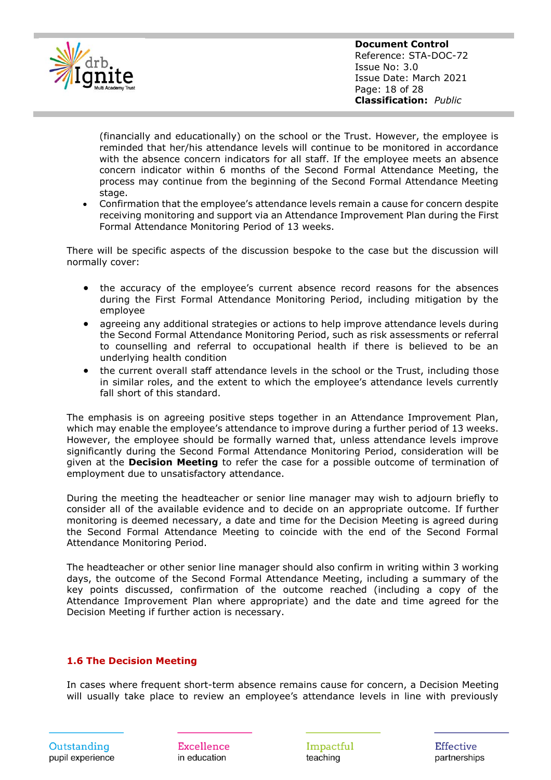

(financially and educationally) on the school or the Trust. However, the employee is reminded that her/his attendance levels will continue to be monitored in accordance with the absence concern indicators for all staff. If the employee meets an absence concern indicator within 6 months of the Second Formal Attendance Meeting, the process may continue from the beginning of the Second Formal Attendance Meeting stage.

• Confirmation that the employee's attendance levels remain a cause for concern despite receiving monitoring and support via an Attendance Improvement Plan during the First Formal Attendance Monitoring Period of 13 weeks.

There will be specific aspects of the discussion bespoke to the case but the discussion will normally cover:

- the accuracy of the employee's current absence record reasons for the absences during the First Formal Attendance Monitoring Period, including mitigation by the employee
- agreeing any additional strategies or actions to help improve attendance levels during the Second Formal Attendance Monitoring Period, such as risk assessments or referral to counselling and referral to occupational health if there is believed to be an underlying health condition
- the current overall staff attendance levels in the school or the Trust, including those in similar roles, and the extent to which the employee's attendance levels currently fall short of this standard.

The emphasis is on agreeing positive steps together in an Attendance Improvement Plan, which may enable the employee's attendance to improve during a further period of 13 weeks. However, the employee should be formally warned that, unless attendance levels improve significantly during the Second Formal Attendance Monitoring Period, consideration will be given at the **Decision Meeting** to refer the case for a possible outcome of termination of employment due to unsatisfactory attendance.

During the meeting the headteacher or senior line manager may wish to adjourn briefly to consider all of the available evidence and to decide on an appropriate outcome. If further monitoring is deemed necessary, a date and time for the Decision Meeting is agreed during the Second Formal Attendance Meeting to coincide with the end of the Second Formal Attendance Monitoring Period.

The headteacher or other senior line manager should also confirm in writing within 3 working days, the outcome of the Second Formal Attendance Meeting, including a summary of the key points discussed, confirmation of the outcome reached (including a copy of the Attendance Improvement Plan where appropriate) and the date and time agreed for the Decision Meeting if further action is necessary.

#### **1.6 The Decision Meeting**

In cases where frequent short-term absence remains cause for concern, a Decision Meeting will usually take place to review an employee's attendance levels in line with previously

Excellence in education

Impactful teaching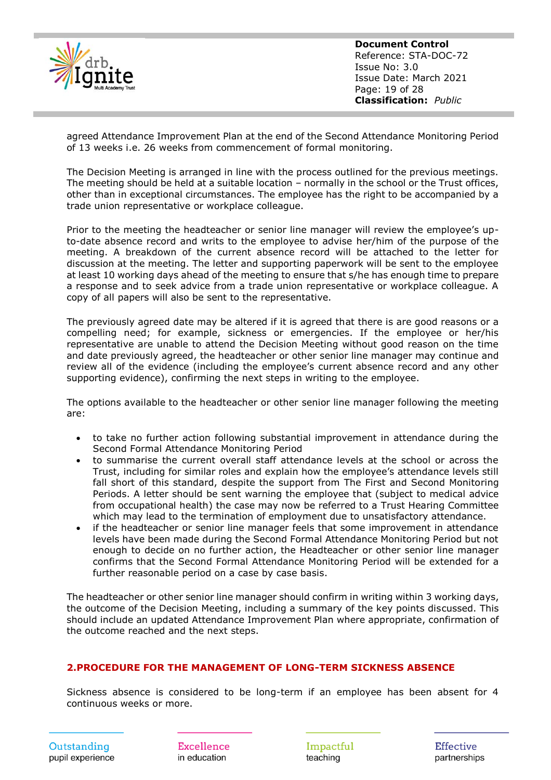

**Document Control** Reference: STA-DOC-72 Issue No: 3.0 Issue Date: March 2021 Page: 19 of 28 **Classification:** *Public*

agreed Attendance Improvement Plan at the end of the Second Attendance Monitoring Period of 13 weeks i.e. 26 weeks from commencement of formal monitoring.

The Decision Meeting is arranged in line with the process outlined for the previous meetings. The meeting should be held at a suitable location – normally in the school or the Trust offices, other than in exceptional circumstances. The employee has the right to be accompanied by a trade union representative or workplace colleague.

Prior to the meeting the headteacher or senior line manager will review the employee's upto-date absence record and writs to the employee to advise her/him of the purpose of the meeting. A breakdown of the current absence record will be attached to the letter for discussion at the meeting. The letter and supporting paperwork will be sent to the employee at least 10 working days ahead of the meeting to ensure that s/he has enough time to prepare a response and to seek advice from a trade union representative or workplace colleague. A copy of all papers will also be sent to the representative.

The previously agreed date may be altered if it is agreed that there is are good reasons or a compelling need; for example, sickness or emergencies. If the employee or her/his representative are unable to attend the Decision Meeting without good reason on the time and date previously agreed, the headteacher or other senior line manager may continue and review all of the evidence (including the employee's current absence record and any other supporting evidence), confirming the next steps in writing to the employee.

The options available to the headteacher or other senior line manager following the meeting are:

- to take no further action following substantial improvement in attendance during the Second Formal Attendance Monitoring Period
- to summarise the current overall staff attendance levels at the school or across the Trust, including for similar roles and explain how the employee's attendance levels still fall short of this standard, despite the support from The First and Second Monitoring Periods. A letter should be sent warning the employee that (subject to medical advice from occupational health) the case may now be referred to a Trust Hearing Committee which may lead to the termination of employment due to unsatisfactory attendance.
- if the headteacher or senior line manager feels that some improvement in attendance levels have been made during the Second Formal Attendance Monitoring Period but not enough to decide on no further action, the Headteacher or other senior line manager confirms that the Second Formal Attendance Monitoring Period will be extended for a further reasonable period on a case by case basis.

The headteacher or other senior line manager should confirm in writing within 3 working days, the outcome of the Decision Meeting, including a summary of the key points discussed. This should include an updated Attendance Improvement Plan where appropriate, confirmation of the outcome reached and the next steps.

#### **2.PROCEDURE FOR THE MANAGEMENT OF LONG-TERM SICKNESS ABSENCE**

Sickness absence is considered to be long-term if an employee has been absent for 4 continuous weeks or more.

Excellence in education

Impactful teaching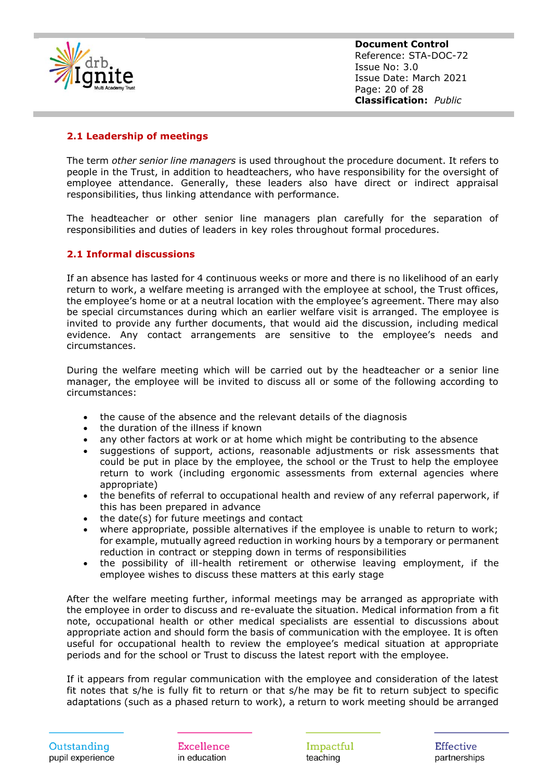

**Document Control** Reference: STA-DOC-72 Issue No: 3.0 Issue Date: March 2021 Page: 20 of 28 **Classification:** *Public*

#### **2.1 Leadership of meetings**

The term *other senior line managers* is used throughout the procedure document. It refers to people in the Trust, in addition to headteachers, who have responsibility for the oversight of employee attendance. Generally, these leaders also have direct or indirect appraisal responsibilities, thus linking attendance with performance.

The headteacher or other senior line managers plan carefully for the separation of responsibilities and duties of leaders in key roles throughout formal procedures.

#### **2.1 Informal discussions**

If an absence has lasted for 4 continuous weeks or more and there is no likelihood of an early return to work, a welfare meeting is arranged with the employee at school, the Trust offices, the employee's home or at a neutral location with the employee's agreement. There may also be special circumstances during which an earlier welfare visit is arranged. The employee is invited to provide any further documents, that would aid the discussion, including medical evidence. Any contact arrangements are sensitive to the employee's needs and circumstances.

During the welfare meeting which will be carried out by the headteacher or a senior line manager, the employee will be invited to discuss all or some of the following according to circumstances:

- the cause of the absence and the relevant details of the diagnosis
- the duration of the illness if known
- any other factors at work or at home which might be contributing to the absence
- suggestions of support, actions, reasonable adjustments or risk assessments that could be put in place by the employee, the school or the Trust to help the employee return to work (including ergonomic assessments from external agencies where appropriate)
- the benefits of referral to occupational health and review of any referral paperwork, if this has been prepared in advance
- the date(s) for future meetings and contact
- where appropriate, possible alternatives if the employee is unable to return to work; for example, mutually agreed reduction in working hours by a temporary or permanent reduction in contract or stepping down in terms of responsibilities
- the possibility of ill-health retirement or otherwise leaving employment, if the employee wishes to discuss these matters at this early stage

After the welfare meeting further, informal meetings may be arranged as appropriate with the employee in order to discuss and re-evaluate the situation. Medical information from a fit note, occupational health or other medical specialists are essential to discussions about appropriate action and should form the basis of communication with the employee. It is often useful for occupational health to review the employee's medical situation at appropriate periods and for the school or Trust to discuss the latest report with the employee.

If it appears from regular communication with the employee and consideration of the latest fit notes that s/he is fully fit to return or that s/he may be fit to return subject to specific adaptations (such as a phased return to work), a return to work meeting should be arranged

Excellence in education

Impactful teaching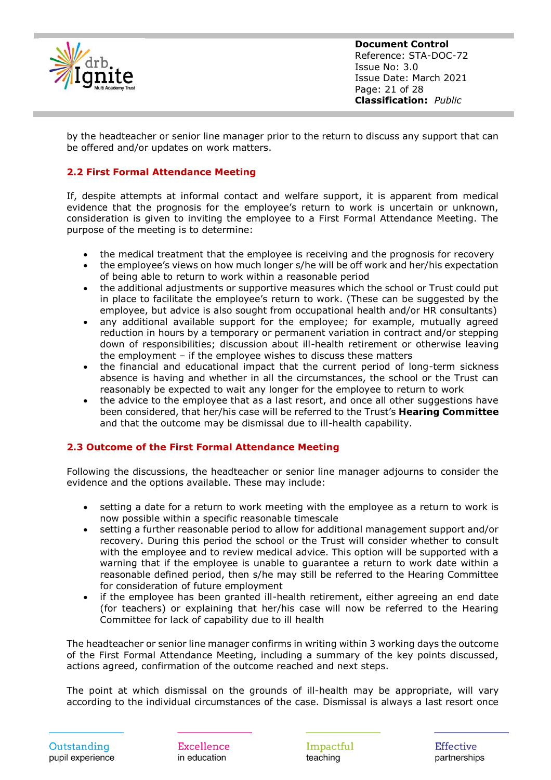

**Document Control** Reference: STA-DOC-72 Issue No: 3.0 Issue Date: March 2021 Page: 21 of 28 **Classification:** *Public*

by the headteacher or senior line manager prior to the return to discuss any support that can be offered and/or updates on work matters.

#### **2.2 First Formal Attendance Meeting**

If, despite attempts at informal contact and welfare support, it is apparent from medical evidence that the prognosis for the employee's return to work is uncertain or unknown, consideration is given to inviting the employee to a First Formal Attendance Meeting. The purpose of the meeting is to determine:

- the medical treatment that the employee is receiving and the prognosis for recovery
- the employee's views on how much longer s/he will be off work and her/his expectation of being able to return to work within a reasonable period
- the additional adjustments or supportive measures which the school or Trust could put in place to facilitate the employee's return to work. (These can be suggested by the employee, but advice is also sought from occupational health and/or HR consultants)
- any additional available support for the employee; for example, mutually agreed reduction in hours by a temporary or permanent variation in contract and/or stepping down of responsibilities; discussion about ill-health retirement or otherwise leaving the employment – if the employee wishes to discuss these matters
- the financial and educational impact that the current period of long-term sickness absence is having and whether in all the circumstances, the school or the Trust can reasonably be expected to wait any longer for the employee to return to work
- the advice to the employee that as a last resort, and once all other suggestions have been considered, that her/his case will be referred to the Trust's **Hearing Committee**  and that the outcome may be dismissal due to ill-health capability.

#### **2.3 Outcome of the First Formal Attendance Meeting**

Following the discussions, the headteacher or senior line manager adjourns to consider the evidence and the options available. These may include:

- setting a date for a return to work meeting with the employee as a return to work is now possible within a specific reasonable timescale
- setting a further reasonable period to allow for additional management support and/or recovery. During this period the school or the Trust will consider whether to consult with the employee and to review medical advice. This option will be supported with a warning that if the employee is unable to guarantee a return to work date within a reasonable defined period, then s/he may still be referred to the Hearing Committee for consideration of future employment
- if the employee has been granted ill-health retirement, either agreeing an end date (for teachers) or explaining that her/his case will now be referred to the Hearing Committee for lack of capability due to ill health

The headteacher or senior line manager confirms in writing within 3 working days the outcome of the First Formal Attendance Meeting, including a summary of the key points discussed, actions agreed, confirmation of the outcome reached and next steps.

The point at which dismissal on the grounds of ill-health may be appropriate, will vary according to the individual circumstances of the case. Dismissal is always a last resort once

Excellence in education

Impactful teaching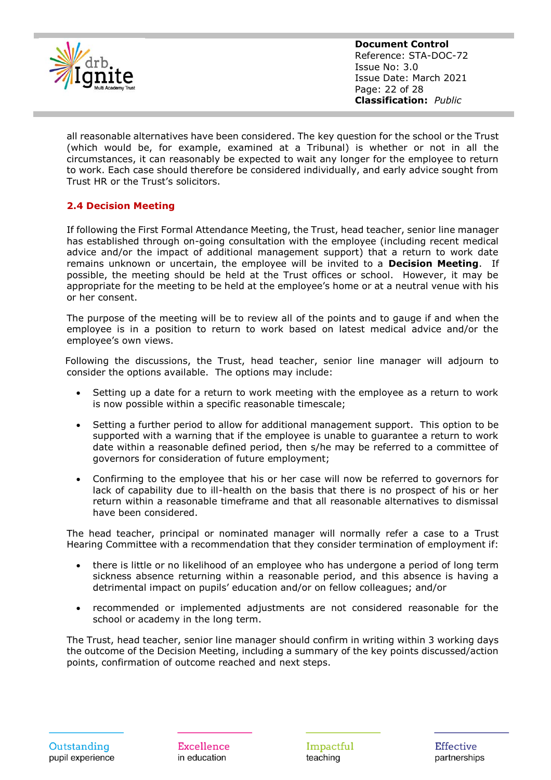

**Document Control** Reference: STA-DOC-72 Issue No: 3.0 Issue Date: March 2021 Page: 22 of 28 **Classification:** *Public*

all reasonable alternatives have been considered. The key question for the school or the Trust (which would be, for example, examined at a Tribunal) is whether or not in all the circumstances, it can reasonably be expected to wait any longer for the employee to return to work. Each case should therefore be considered individually, and early advice sought from Trust HR or the Trust's solicitors.

#### **2.4 Decision Meeting**

If following the First Formal Attendance Meeting, the Trust, head teacher, senior line manager has established through on-going consultation with the employee (including recent medical advice and/or the impact of additional management support) that a return to work date remains unknown or uncertain, the employee will be invited to a **Decision Meeting**. If possible, the meeting should be held at the Trust offices or school. However, it may be appropriate for the meeting to be held at the employee's home or at a neutral venue with his or her consent.

The purpose of the meeting will be to review all of the points and to gauge if and when the employee is in a position to return to work based on latest medical advice and/or the employee's own views.

Following the discussions, the Trust, head teacher, senior line manager will adjourn to consider the options available. The options may include:

- Setting up a date for a return to work meeting with the employee as a return to work is now possible within a specific reasonable timescale;
- Setting a further period to allow for additional management support. This option to be supported with a warning that if the employee is unable to guarantee a return to work date within a reasonable defined period, then s/he may be referred to a committee of governors for consideration of future employment;
- Confirming to the employee that his or her case will now be referred to governors for lack of capability due to ill-health on the basis that there is no prospect of his or her return within a reasonable timeframe and that all reasonable alternatives to dismissal have been considered.

The head teacher, principal or nominated manager will normally refer a case to a Trust Hearing Committee with a recommendation that they consider termination of employment if:

- there is little or no likelihood of an employee who has undergone a period of long term sickness absence returning within a reasonable period, and this absence is having a detrimental impact on pupils' education and/or on fellow colleagues; and/or
- recommended or implemented adjustments are not considered reasonable for the school or academy in the long term.

The Trust, head teacher, senior line manager should confirm in writing within 3 working days the outcome of the Decision Meeting, including a summary of the key points discussed/action points, confirmation of outcome reached and next steps.

Excellence in education

Impactful teaching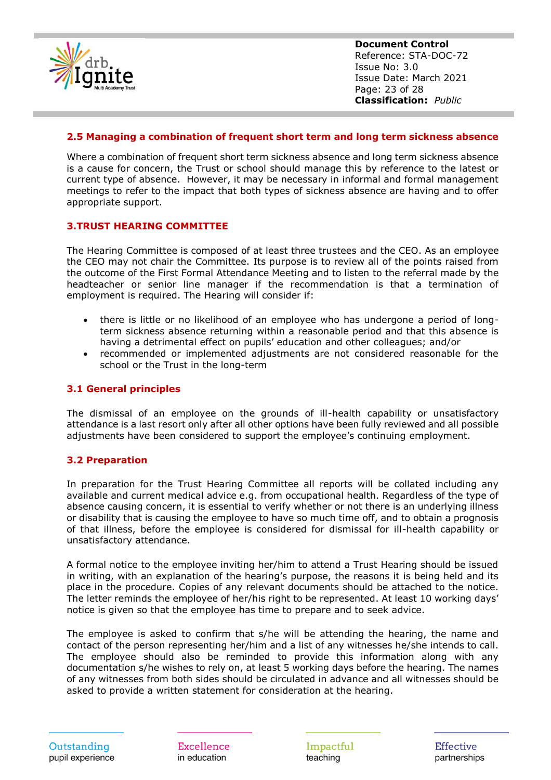

**Document Control** Reference: STA-DOC-72 Issue No: 3.0 Issue Date: March 2021 Page: 23 of 28 **Classification:** *Public*

#### **2.5 Managing a combination of frequent short term and long term sickness absence**

Where a combination of frequent short term sickness absence and long term sickness absence is a cause for concern, the Trust or school should manage this by reference to the latest or current type of absence. However, it may be necessary in informal and formal management meetings to refer to the impact that both types of sickness absence are having and to offer appropriate support.

#### **3.TRUST HEARING COMMITTEE**

The Hearing Committee is composed of at least three trustees and the CEO. As an employee the CEO may not chair the Committee. Its purpose is to review all of the points raised from the outcome of the First Formal Attendance Meeting and to listen to the referral made by the headteacher or senior line manager if the recommendation is that a termination of employment is required. The Hearing will consider if:

- there is little or no likelihood of an employee who has undergone a period of longterm sickness absence returning within a reasonable period and that this absence is having a detrimental effect on pupils' education and other colleagues; and/or
- recommended or implemented adjustments are not considered reasonable for the school or the Trust in the long-term

#### **3.1 General principles**

The dismissal of an employee on the grounds of ill-health capability or unsatisfactory attendance is a last resort only after all other options have been fully reviewed and all possible adjustments have been considered to support the employee's continuing employment.

#### **3.2 Preparation**

In preparation for the Trust Hearing Committee all reports will be collated including any available and current medical advice e.g. from occupational health. Regardless of the type of absence causing concern, it is essential to verify whether or not there is an underlying illness or disability that is causing the employee to have so much time off, and to obtain a prognosis of that illness, before the employee is considered for dismissal for ill-health capability or unsatisfactory attendance.

A formal notice to the employee inviting her/him to attend a Trust Hearing should be issued in writing, with an explanation of the hearing's purpose, the reasons it is being held and its place in the procedure. Copies of any relevant documents should be attached to the notice. The letter reminds the employee of her/his right to be represented. At least 10 working days' notice is given so that the employee has time to prepare and to seek advice.

The employee is asked to confirm that s/he will be attending the hearing, the name and contact of the person representing her/him and a list of any witnesses he/she intends to call. The employee should also be reminded to provide this information along with any documentation s/he wishes to rely on, at least 5 working days before the hearing. The names of any witnesses from both sides should be circulated in advance and all witnesses should be asked to provide a written statement for consideration at the hearing.

Excellence in education

Impactful teaching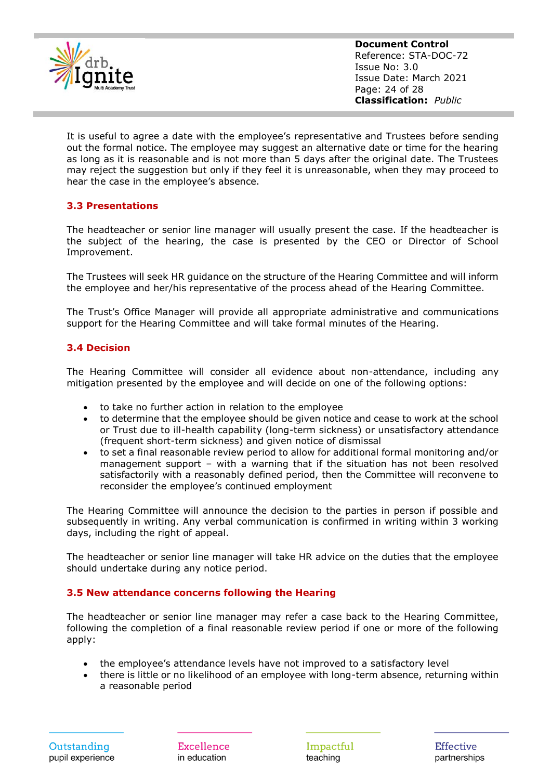

**Document Control** Reference: STA-DOC-72 Issue No: 3.0 Issue Date: March 2021 Page: 24 of 28 **Classification:** *Public*

It is useful to agree a date with the employee's representative and Trustees before sending out the formal notice. The employee may suggest an alternative date or time for the hearing as long as it is reasonable and is not more than 5 days after the original date. The Trustees may reject the suggestion but only if they feel it is unreasonable, when they may proceed to hear the case in the employee's absence.

#### **3.3 Presentations**

The headteacher or senior line manager will usually present the case. If the headteacher is the subject of the hearing, the case is presented by the CEO or Director of School Improvement.

The Trustees will seek HR guidance on the structure of the Hearing Committee and will inform the employee and her/his representative of the process ahead of the Hearing Committee.

The Trust's Office Manager will provide all appropriate administrative and communications support for the Hearing Committee and will take formal minutes of the Hearing.

#### **3.4 Decision**

The Hearing Committee will consider all evidence about non-attendance, including any mitigation presented by the employee and will decide on one of the following options:

- to take no further action in relation to the employee
- to determine that the employee should be given notice and cease to work at the school or Trust due to ill-health capability (long-term sickness) or unsatisfactory attendance (frequent short-term sickness) and given notice of dismissal
- to set a final reasonable review period to allow for additional formal monitoring and/or management support – with a warning that if the situation has not been resolved satisfactorily with a reasonably defined period, then the Committee will reconvene to reconsider the employee's continued employment

The Hearing Committee will announce the decision to the parties in person if possible and subsequently in writing. Any verbal communication is confirmed in writing within 3 working days, including the right of appeal.

The headteacher or senior line manager will take HR advice on the duties that the employee should undertake during any notice period.

#### **3.5 New attendance concerns following the Hearing**

The headteacher or senior line manager may refer a case back to the Hearing Committee, following the completion of a final reasonable review period if one or more of the following apply:

- the employee's attendance levels have not improved to a satisfactory level
- there is little or no likelihood of an employee with long-term absence, returning within a reasonable period

Excellence in education

Impactful teaching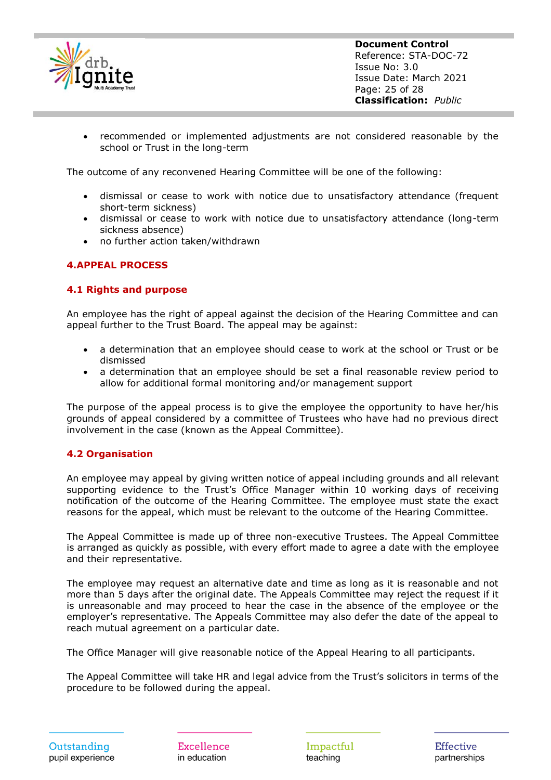

• recommended or implemented adjustments are not considered reasonable by the school or Trust in the long-term

The outcome of any reconvened Hearing Committee will be one of the following:

- dismissal or cease to work with notice due to unsatisfactory attendance (frequent short-term sickness)
- dismissal or cease to work with notice due to unsatisfactory attendance (long-term sickness absence)
- no further action taken/withdrawn

#### **4.APPEAL PROCESS**

#### **4.1 Rights and purpose**

An employee has the right of appeal against the decision of the Hearing Committee and can appeal further to the Trust Board. The appeal may be against:

- a determination that an employee should cease to work at the school or Trust or be dismissed
- a determination that an employee should be set a final reasonable review period to allow for additional formal monitoring and/or management support

The purpose of the appeal process is to give the employee the opportunity to have her/his grounds of appeal considered by a committee of Trustees who have had no previous direct involvement in the case (known as the Appeal Committee).

#### **4.2 Organisation**

An employee may appeal by giving written notice of appeal including grounds and all relevant supporting evidence to the Trust's Office Manager within 10 working days of receiving notification of the outcome of the Hearing Committee. The employee must state the exact reasons for the appeal, which must be relevant to the outcome of the Hearing Committee.

The Appeal Committee is made up of three non-executive Trustees. The Appeal Committee is arranged as quickly as possible, with every effort made to agree a date with the employee and their representative.

The employee may request an alternative date and time as long as it is reasonable and not more than 5 days after the original date. The Appeals Committee may reject the request if it is unreasonable and may proceed to hear the case in the absence of the employee or the employer's representative. The Appeals Committee may also defer the date of the appeal to reach mutual agreement on a particular date.

The Office Manager will give reasonable notice of the Appeal Hearing to all participants.

The Appeal Committee will take HR and legal advice from the Trust's solicitors in terms of the procedure to be followed during the appeal.

Excellence in education

Impactful teaching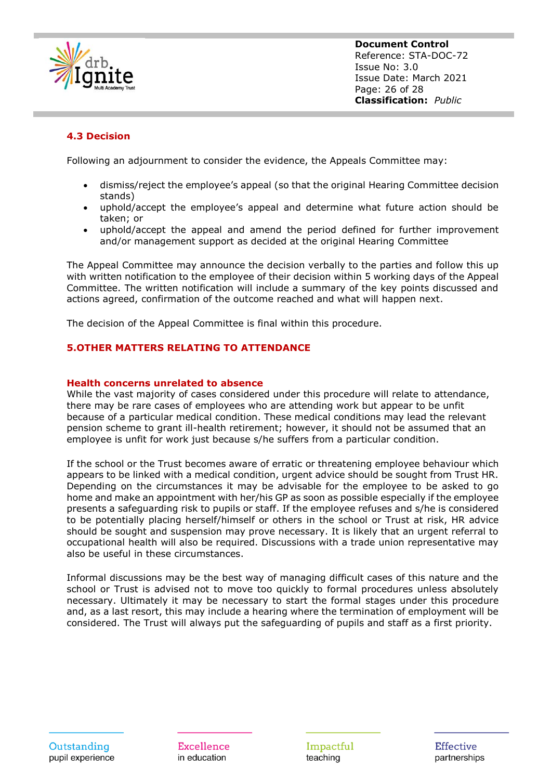

**Document Control** Reference: STA-DOC-72 Issue No: 3.0 Issue Date: March 2021 Page: 26 of 28 **Classification:** *Public*

#### **4.3 Decision**

Following an adjournment to consider the evidence, the Appeals Committee may:

- dismiss/reject the employee's appeal (so that the original Hearing Committee decision stands)
- uphold/accept the employee's appeal and determine what future action should be taken; or
- uphold/accept the appeal and amend the period defined for further improvement and/or management support as decided at the original Hearing Committee

The Appeal Committee may announce the decision verbally to the parties and follow this up with written notification to the employee of their decision within 5 working days of the Appeal Committee. The written notification will include a summary of the key points discussed and actions agreed, confirmation of the outcome reached and what will happen next.

The decision of the Appeal Committee is final within this procedure.

#### **5.OTHER MATTERS RELATING TO ATTENDANCE**

#### **Health concerns unrelated to absence**

While the vast majority of cases considered under this procedure will relate to attendance, there may be rare cases of employees who are attending work but appear to be unfit because of a particular medical condition. These medical conditions may lead the relevant pension scheme to grant ill-health retirement; however, it should not be assumed that an employee is unfit for work just because s/he suffers from a particular condition.

If the school or the Trust becomes aware of erratic or threatening employee behaviour which appears to be linked with a medical condition, urgent advice should be sought from Trust HR. Depending on the circumstances it may be advisable for the employee to be asked to go home and make an appointment with her/his GP as soon as possible especially if the employee presents a safeguarding risk to pupils or staff. If the employee refuses and s/he is considered to be potentially placing herself/himself or others in the school or Trust at risk, HR advice should be sought and suspension may prove necessary. It is likely that an urgent referral to occupational health will also be required. Discussions with a trade union representative may also be useful in these circumstances.

Informal discussions may be the best way of managing difficult cases of this nature and the school or Trust is advised not to move too quickly to formal procedures unless absolutely necessary. Ultimately it may be necessary to start the formal stages under this procedure and, as a last resort, this may include a hearing where the termination of employment will be considered. The Trust will always put the safeguarding of pupils and staff as a first priority.

Outstanding pupil experience

Excellence in education

Impactful teaching